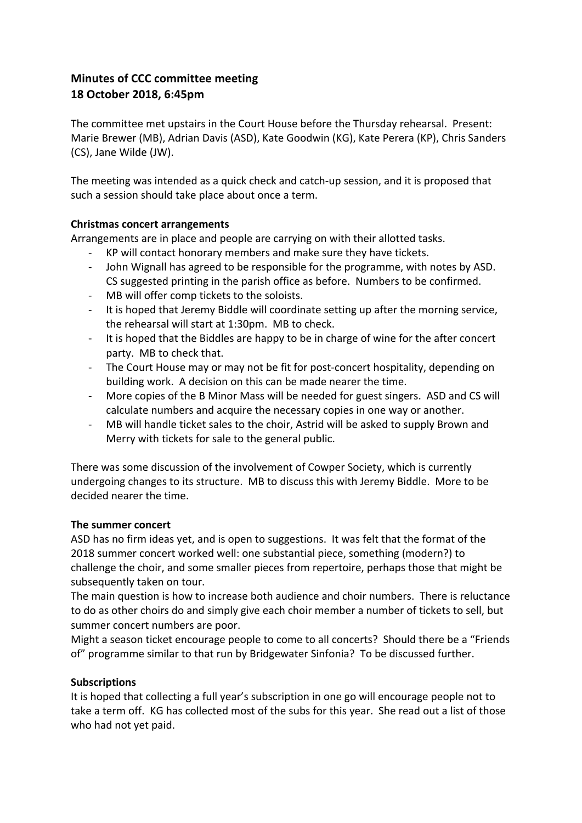# **Minutes of CCC committee meeting 18 October 2018, 6:45pm**

The committee met upstairs in the Court House before the Thursday rehearsal. Present: Marie Brewer (MB), Adrian Davis (ASD), Kate Goodwin (KG), Kate Perera (KP), Chris Sanders (CS), Jane Wilde (JW).

The meeting was intended as a quick check and catch-up session, and it is proposed that such a session should take place about once a term.

## **Christmas concert arrangements**

Arrangements are in place and people are carrying on with their allotted tasks.

- KP will contact honorary members and make sure they have tickets.
- John Wignall has agreed to be responsible for the programme, with notes by ASD. CS suggested printing in the parish office as before. Numbers to be confirmed.
- MB will offer comp tickets to the soloists.
- It is hoped that Jeremy Biddle will coordinate setting up after the morning service, the rehearsal will start at 1:30pm. MB to check.
- It is hoped that the Biddles are happy to be in charge of wine for the after concert party. MB to check that.
- The Court House may or may not be fit for post-concert hospitality, depending on building work. A decision on this can be made nearer the time.
- More copies of the B Minor Mass will be needed for guest singers. ASD and CS will calculate numbers and acquire the necessary copies in one way or another.
- MB will handle ticket sales to the choir, Astrid will be asked to supply Brown and Merry with tickets for sale to the general public.

There was some discussion of the involvement of Cowper Society, which is currently undergoing changes to its structure. MB to discuss this with Jeremy Biddle. More to be decided nearer the time.

## The summer concert

ASD has no firm ideas yet, and is open to suggestions. It was felt that the format of the 2018 summer concert worked well: one substantial piece, something (modern?) to challenge the choir, and some smaller pieces from repertoire, perhaps those that might be subsequently taken on tour.

The main question is how to increase both audience and choir numbers. There is reluctance to do as other choirs do and simply give each choir member a number of tickets to sell, but summer concert numbers are poor.

Might a season ticket encourage people to come to all concerts? Should there be a "Friends of" programme similar to that run by Bridgewater Sinfonia? To be discussed further.

## **Subscriptions**

It is hoped that collecting a full year's subscription in one go will encourage people not to take a term off. KG has collected most of the subs for this year. She read out a list of those who had not yet paid.